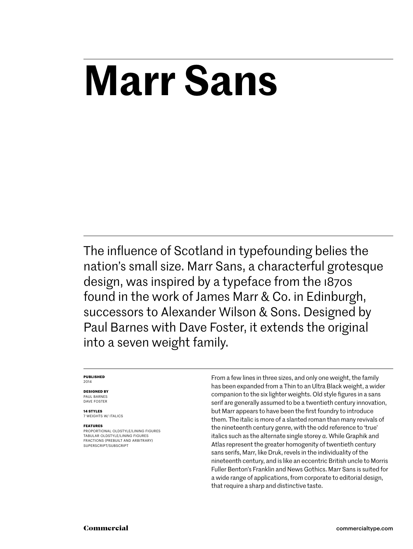# **Marr Sans**

The influence of Scotland in typefounding belies the nation's small size. Marr Sans, a characterful grotesque design, was inspired by a typeface from the 1870s found in the work of James Marr & Co. in Edinburgh, successors to Alexander Wilson & Sons. Designed by Paul Barnes with Dave Foster, it extends the original into a seven weight family.

#### **Published** 2014

#### **Designed by** PAUL BARNES

Dave foster

**14 styles** 7 weights w/ ITALICS

#### **Features**

Proportional oldstyle/lining figures Tabular oldstyle/lining figures Fractions (prebuilt and arbitrary) SUPERSCRIPT/SUBSCRIPT

From a few lines in three sizes, and only one weight, the family has been expanded from a Thin to an Ultra Black weight, a wider companion to the six lighter weights. Old style figures in a sans serif are generally assumed to be a twentieth century innovation, but Marr appears to have been the first foundry to introduce them. The italic is more of a slanted roman than many revivals of the nineteenth century genre, with the odd reference to 'true' italics such as the alternate single storey *a*. While Graphik and Atlas represent the greater homogenity of twentieth century sans serifs, Marr, like Druk, revels in the individuality of the nineteenth century, and is like an eccentric British uncle to Morris Fuller Benton's Franklin and News Gothics. Marr Sans is suited for a wide range of applications, from corporate to editorial design, that require a sharp and distinctive taste.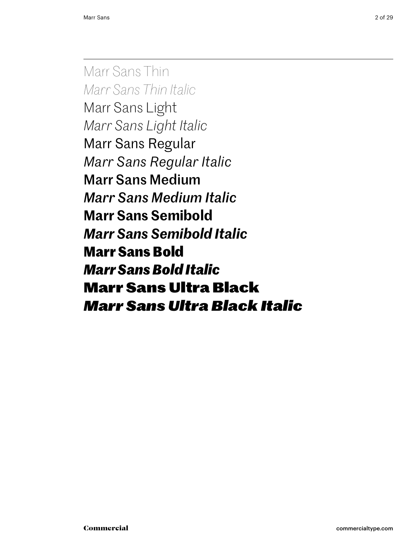Marr Sans Thin *Marr Sans Thin Italic* Marr Sans Light *Marr Sans Light Italic* Marr Sans Regular *Marr Sans Regular Italic* Marr Sans Medium *Marr Sans Medium Italic* **Marr Sans Semibold** *Marr Sans Semibold Italic* **Marr Sans Bold** *Marr Sans Bold Italic* Marr Sans Ultra Black *Marr Sans Ultra Black Italic*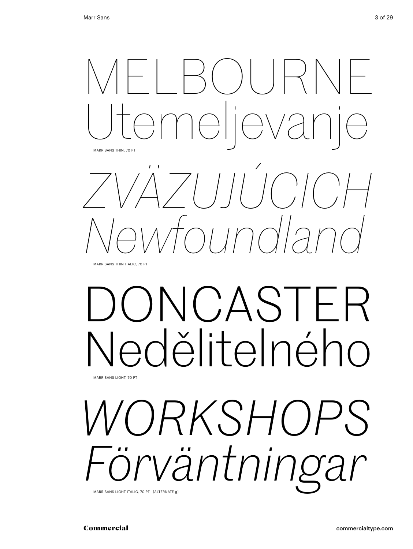

Marr Sans Thin italic, 70 Pt

# ONCASTER edělitelného Marr Sans light, 70 Pt

*workshops Förväntningar* Marr Sans light italic, 70 Pt [alternate g]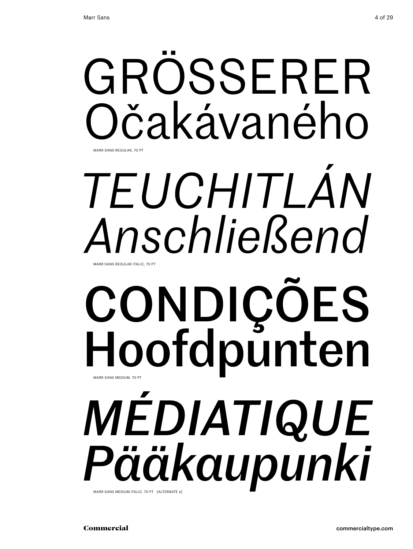

# *Teuchitlán Anschließend* Marr Sans Regular italic, 70 Pt

# condições Hoofdpunten *médiatique Pääkaupunki* Marr Sans medium, 70 Pt

Marr Sans medium italic, 70 Pt [alternate a]

Commercial commercialtype.com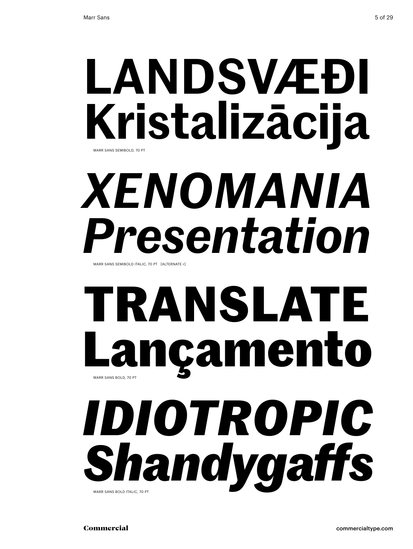# **landsvæði Kristalizācija** Marr Sans semibold, 70 Pt

# *xenomania Presentation*

MARR SANS SEMIBOLD ITALIC, 70 PT [ALTERNATE r]

# **translate Lançamento** Marr Sans bold, 70 Pt

*Idiotropic Shandygaffs* MARR SANS BOLD ITALIC, 70 PT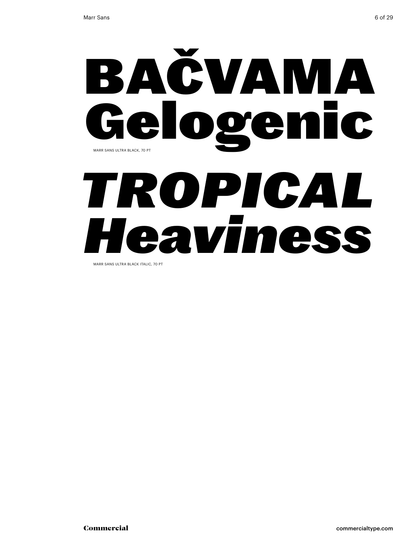

Marr Sans ultra black italic, 70 Pt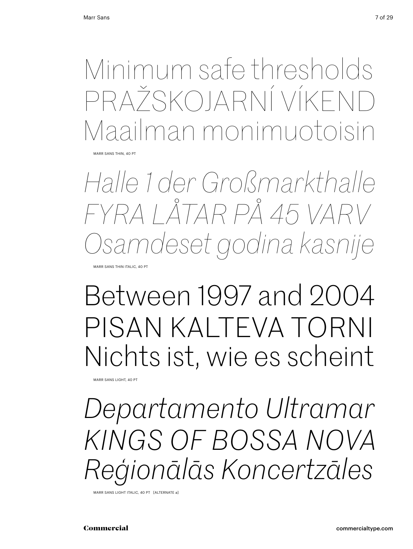Minimum safe thresholds Pražskojarní víkend Maailman monimuotoisin

Marr Sans thin, 40 Pt

*Halle 1 der Großmarkthalle fyra låtar på 45 varv Osamdeset godina kasnije*

Marr Sans thin italic, 40 Pt

## Between 1997 and 2004 Pisan kalteva torni Nichts ist, wie es scheint

Marr Sans light, 40 Pt

*Departamento Ultramar kings of bossa nova Reģionālās Koncertzāles* 

Marr Sans light italic, 40 Pt [alternate a]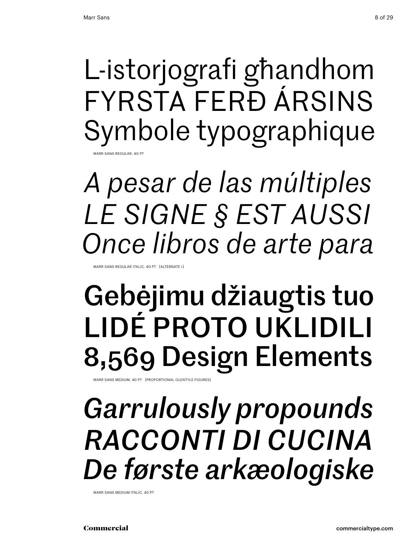L-istorjografi għandhom Fyrsta ferð ársins Symbole typographique SANS REGULAR, 40 P

*A pesar de las múltiples Le signe § est aussi Once libros de arte para*

Marr Sans Regular italic, 40 Pt [alternate r]

# Gebėjimu džiaugtis tuo Lidé proto uklidili 8,569 Design Elements

MARR SANS MEDIUM, 40 PT [PROPORTIONAL OLDSTYLE FIGURES

## *Garrulously propounds Racconti di cucina De første arkæologiske*

Marr Sans medium italic, 40 Pt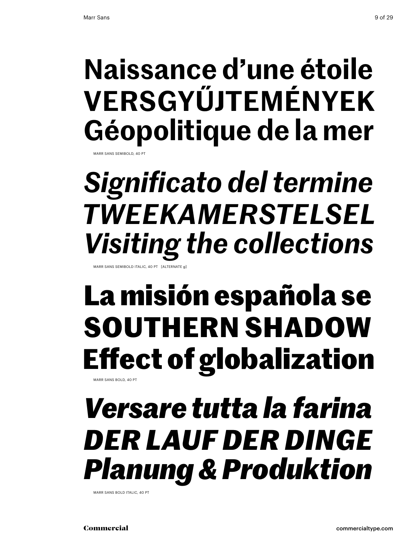## **Naissance d'une étoile Versgyűjtemények Géopolitique de la mer**

SANS SEMIBOLD, 40

# *Significato del termine tweekamerstelsel Visiting the collections*

Marr Sans semibold italic, 40 Pt [alternate g]

### **La misión española se southern shadow Effect of globalization** Marr Sans bold, 40 Pt

*Versare tutta la farina Der Lauf der Dinge Planung & Produktion*

MARR SANS BOLD ITALIC, 40 PT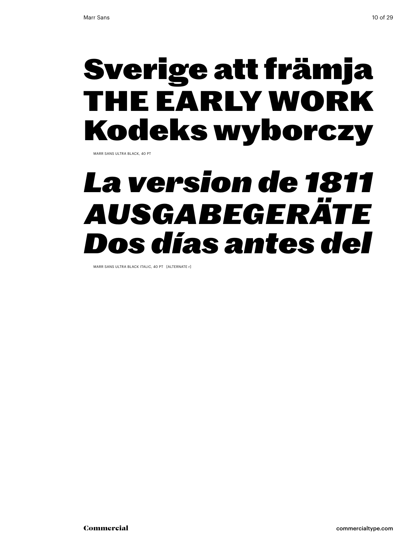## Sverige att främja the early work Kodeks wyborczy

Marr Sans ultra black, 40 Pt

## *La version de 1811 Ausgabegeräte Dos días antes del*

Marr Sans ultra black italic, 40 Pt [alternate r]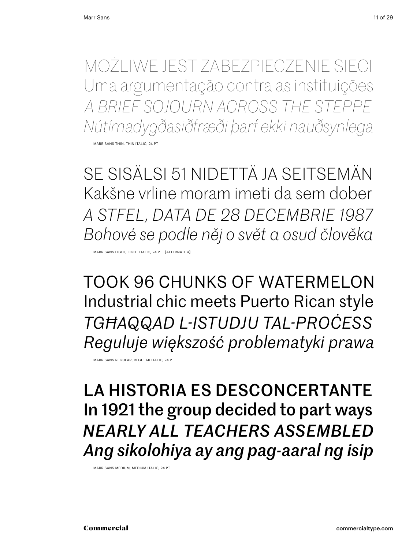Możliwe jest zabezpieczenie sieci Uma argumentação contra as instituições *a brief sojourn across the steppe Nútímadygðasiðfræði þarf ekki nauðsynlega*

Marr Sans thin, thin italic, 24 Pt

Se sisälsi 51 nidettä ja seitsemän Kakšne vrline moram imeti da sem dober *A stfel, data de 28 decembrie 1987 Bohové se podle něj o svět a osud člověka*

Marr Sans light, light italic, 24 Pt [alternate a]

took 96 chunks of watermelon Industrial chic meets Puerto Rican style *tgħaqqad l-istudju tal-proċess Reguluje większość problematyki prawa*

Marr Sans Regular, Regular italic, 24 Pt

La historia es desconcertante In 1921 the group decided to part ways *nearly all teachers assembled Ang sikolohiya ay ang pag-aaral ng isip*

Marr Sans medium, medium italic, 24 Pt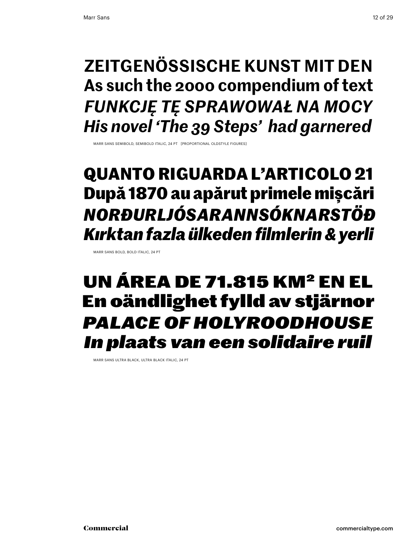### **zeitgenössische Kunst mit den As such the 2000 compendium of text** *Funkcję tę sprawował na mocy His novel 'The 39 Steps' had garnered*

Marr Sans semibold, semibold italic, 24 Pt [proportional oldstyle figures]

### **quanto riguarda l'articolo 21 După 1870 au apărut primele mișcări** *norðurljósarannsóknarstöð Kırktan fazla ülkeden filmlerin & yerli*

MARR SANS BOLD, BOLD ITALIC, 24 PT

### un área de 71.815 km2 en el En oändlighet fylld av stjärnor *Palace of Holyroodhouse In plaats van een solidaire ruil*

MARR SANS ULTRA BLACK, ULTRA BLACK ITALIC, 24 PT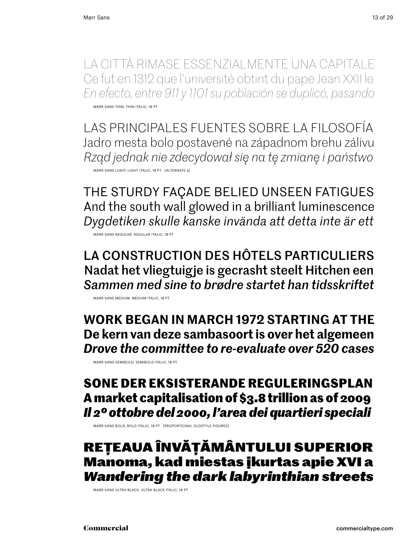La città rimase essenzialmente una capitale Ce fut en 1312 que l'université obtint du pape Jean XXII le *En efecto, entre 911 y 1101 su población se duplicó, pasando* Marr Sans thin, thin italic, 18 Pt

Las principales fuentes sobre la filosofía Jadro mesta bolo postavené na západnom brehu zálivu *Rząd jednak nie zdecydował się na tę zmianę i państwo* Marr Sans light, light italic, 18 Pt [alternate a]

the sturdy façade belied unseen fatigues And the south wall glowed in a brilliant luminescence *Dygdetiken skulle kanske invända att detta inte är ett*

Marr Sans Regular, Regular italic, 18 Pt

La construction des hôtels particuliers Nadat het vliegtuigje is gecrasht steelt Hitchen een *Sammen med sine to brødre startet han tidsskriftet*

Marr Sans medium, medium italic, 18 Pt

**Work began in march 1972 starting at the De kern van deze sambasoort is over het algemeen** *Drove the committee to re-evaluate over 520 cases*

Marr Sans semibold, semibold italic, 18 Pt

#### **Sone der eksisterande reguleringsplan A market capitalisation of \$3.8 trillion as of 2009** *Il 2º ottobre del 2000, l'area dei quartieri speciali*

Marr Sans bold, bold italic, 18 Pt [proportional oldstyle figures]

#### Rețeaua învățământului superior Manoma, kad miestas įkurtas apie XVI a *Wandering the dark labyrinthian streets*

Marr Sans Ultra Black, Ultra Black italic, 18 Pt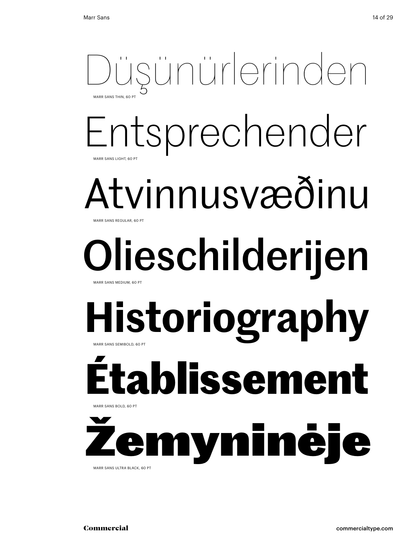### Düşünürlerinden MARR SANS THIN, 60 P

### Entsprechender Marr Sans light, 60 Pt

### Atvinnusvæðinu MARR SANS REGULAR, 60 PT

### Olieschilderijen MARR SANS MEDIUM, 60 PT

## **Historiography** Marr Sans semibold, 60 Pt

# **Établissement**

yninėj Marr Sans Ultra Black, 60 Pt

Marr Sans bold, 60 Pt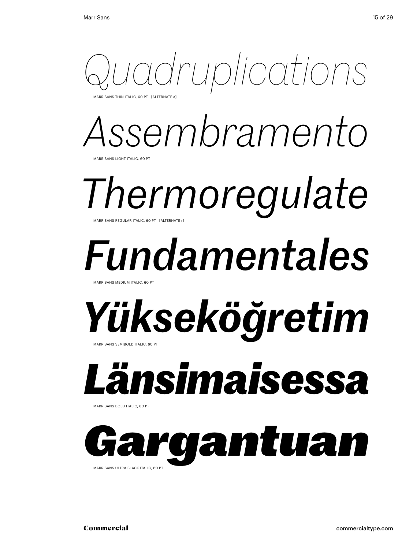

ARR SANS THIN ITALIC, 60 PT [ALTERNATE a]

# *Assembramento*

Marr Sans light Italic, 60 pt

## *Thermoregulate* MARR SANS REGULAR ITALIC, 60 PT [ALTERNATE r]

# *Fundamentales*

Marr Sans medium Italic, 60 pt

### *Yükseköğretim* Marr Sans semibold Italic, 60 pt

# *Länsimaisessa*

Marr Sans bold Italic, 60 pt

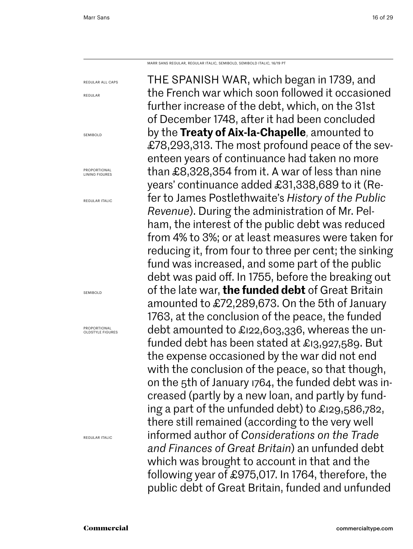regular all caps

regular

SEMIROLD

Marr Sans regular, regular italic, semibold, semibold italic, 16/19 PT

The Spanish War, which began in 1739, and the French war which soon followed it occasioned further increase of the debt, which, on the 31st of December 1748, after it had been concluded by the **Treaty of Aix-la-Chapelle**, amounted to £78,293,313. The most profound peace of the seventeen years of continuance had taken no more than £8,328,354 from it. A war of less than nine years' continuance added £31,338,689 to it (Refer to James Postlethwaite's *History of the Public Revenue*). During the administration of Mr. Pelham, the interest of the public debt was reduced from 4% to 3%; or at least measures were taken for reducing it, from four to three per cent; the sinking fund was increased, and some part of the public debt was paid off. In 1755, before the breaking out of the late war, **the funded debt** of Great Britain amounted to £72,289,673. On the 5th of January 1763, at the conclusion of the peace, the funded debt amounted to £122,603,336, whereas the unfunded debt has been stated at £13,927,589. But the expense occasioned by the war did not end with the conclusion of the peace, so that though, on the 5th of January 1764, the funded debt was increased (partly by a new loan, and partly by funding a part of the unfunded debt) to £129,586,782, there still remained (according to the very well informed author of *Considerations on the Trade and Finances of Great Britain*) an unfunded debt which was brought to account in that and the following year of £975,017. In 1764, therefore, the public debt of Great Britain, funded and unfunded

Proportional Lining figures regular Italic semibold

regular Italic

Proportional OLDSTYLE FIGURES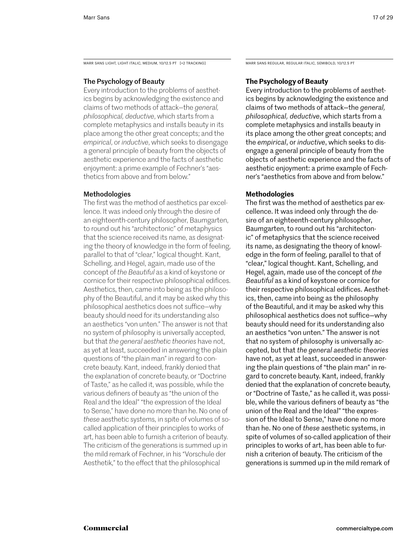MARR SANS LIGHT, LIGHT ITALIC, MEDIUM, 10/12.5 PT [+2 TRACKING] MARR SANS REGULAR, REGULAR ITALIC, SEMIBOLD, 10/12.5 PT

#### The Psychology of Beauty

Every introduction to the problems of aesthetics begins by acknowledging the existence and claims of two methods of attack—the *general, philosophical, deductive*, which starts from a complete metaphysics and installs beauty in its place among the other great concepts; and the *empirical*, or *inductive*, which seeks to disengage a general principle of beauty from the objects of aesthetic experience and the facts of aesthetic enjoyment: a prime example of Fechner's "aesthetics from above and from below."

#### Methodologies

The first was the method of aesthetics par excellence. It was indeed only through the desire of an eighteenth-century philosopher, Baumgarten, to round out his "architectonic" of metaphysics that the science received its name, as designating the theory of knowledge in the form of feeling, parallel to that of "clear," logical thought. Kant, Schelling, and Hegel, again, made use of the concept of *the Beautiful* as a kind of keystone or cornice for their respective philosophical edifices. Aesthetics, then, came into being as the philosophy of the Beautiful, and it may be asked why this philosophical aesthetics does not suffice—why beauty should need for its understanding also an aesthetics "von unten." The answer is not that no system of philosophy is universally accepted, but that *the general aesthetic theories* have not, as yet at least, succeeded in answering the plain questions of "the plain man" in regard to concrete beauty. Kant, indeed, frankly denied that the explanation of concrete beauty, or "Doctrine of Taste," as he called it, was possible, while the various definers of beauty as "the union of the Real and the Ideal" "the expression of the Ideal to Sense," have done no more than he. No one of *these* aesthetic systems, in spite of volumes of socalled application of their principles to works of art, has been able to furnish a criterion of beauty. The criticism of the generations is summed up in the mild remark of Fechner, in his "Vorschule der Aesthetik," to the effect that the philosophical

#### **The Psychology of Beauty**

Every introduction to the problems of aesthetics begins by acknowledging the existence and claims of two methods of attack—the *general, philosophical, deductive*, which starts from a complete metaphysics and installs beauty in its place among the other great concepts; and the *empirical*, or *inductive*, which seeks to disengage a general principle of beauty from the objects of aesthetic experience and the facts of aesthetic enjoyment: a prime example of Fechner's "aesthetics from above and from below."

#### **Methodologies**

The first was the method of aesthetics par excellence. It was indeed only through the desire of an eighteenth-century philosopher, Baumgarten, to round out his "architectonic" of metaphysics that the science received its name, as designating the theory of knowledge in the form of feeling, parallel to that of "clear," logical thought. Kant, Schelling, and Hegel, again, made use of the concept of *the Beautiful* as a kind of keystone or cornice for their respective philosophical edifices. Aesthetics, then, came into being as the philosophy of the Beautiful, and it may be asked why this philosophical aesthetics does not suffice—why beauty should need for its understanding also an aesthetics "von unten." The answer is not that no system of philosophy is universally accepted, but that *the general aesthetic theories*  have not, as yet at least, succeeded in answering the plain questions of "the plain man" in regard to concrete beauty. Kant, indeed, frankly denied that the explanation of concrete beauty, or "Doctrine of Taste," as he called it, was possible, while the various definers of beauty as "the union of the Real and the Ideal" "the expression of the Ideal to Sense," have done no more than he. No one of *these* aesthetic systems, in spite of volumes of so-called application of their principles to works of art, has been able to furnish a criterion of beauty. The criticism of the generations is summed up in the mild remark of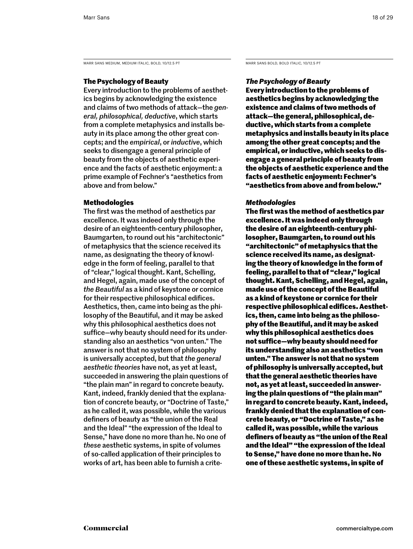MARR SANS MEDIUM, MEDIUM ITALIC, BOLD, 10/12.5 PT MARR SANS BOLD, BOLD ITALIC, 10/12.5 PT

#### **The Psychology of Beauty**

Every introduction to the problems of aesthetics begins by acknowledging the existence and claims of two methods of attack—the *general, philosophical, deductive*, which starts from a complete metaphysics and installs beauty in its place among the other great concepts; and the *empirical*, or *inductive*, which seeks to disengage a general principle of beauty from the objects of aesthetic experience and the facts of aesthetic enjoyment: a prime example of Fechner's "aesthetics from above and from below."

#### **Methodologies**

The first was the method of aesthetics par excellence. It was indeed only through the desire of an eighteenth-century philosopher, Baumgarten, to round out his "architectonic" of metaphysics that the science received its name, as designating the theory of knowledge in the form of feeling, parallel to that of "clear," logical thought. Kant, Schelling, and Hegel, again, made use of the concept of *the Beautiful* as a kind of keystone or cornice for their respective philosophical edifices. Aesthetics, then, came into being as the philosophy of the Beautiful, and it may be asked why this philosophical aesthetics does not suffice—why beauty should need for its understanding also an aesthetics "von unten." The answer is not that no system of philosophy is universally accepted, but that *the general aesthetic theories* have not, as yet at least, succeeded in answering the plain questions of "the plain man" in regard to concrete beauty. Kant, indeed, frankly denied that the explanation of concrete beauty, or "Doctrine of Taste," as he called it, was possible, while the various definers of beauty as "the union of the Real and the Ideal" "the expression of the Ideal to Sense," have done no more than he. No one of *these* aesthetic systems, in spite of volumes of so-called application of their principles to works of art, has been able to furnish a crite-

#### *The Psychology of Beauty*

**Every introduction to the problems of aesthetics begins by acknowledging the existence and claims of two methods of attack—the general, philosophical, deductive, which starts from a complete metaphysics and installs beauty in its place among the other great concepts; and the empirical, or inductive, which seeks to disengage a general principle of beauty from the objects of aesthetic experience and the facts of aesthetic enjoyment: Fechner's "aesthetics from above and from below."** 

#### *Methodologies*

**The first was the method of aesthetics par excellence. It was indeed only through the desire of an eighteenth-century philosopher, Baumgarten, to round out his "architectonic" of metaphysics that the science received its name, as designating the theory of knowledge in the form of feeling, parallel to that of "clear," logical thought. Kant, Schelling, and Hegel, again, made use of the concept of the Beautiful as a kind of keystone or cornice for their respective philosophical edifices. Aesthetics, then, came into being as the philosophy of the Beautiful, and it may be asked why this philosophical aesthetics does not suffice—why beauty should need for its understanding also an aesthetics "von unten." The answer is not that no system of philosophy is universally accepted, but that the general aesthetic theories have not, as yet at least, succeeded in answering the plain questions of "the plain man" in regard to concrete beauty. Kant, indeed, frankly denied that the explanation of concrete beauty, or "Doctrine of Taste," as he called it, was possible, while the various definers of beauty as "the union of the Real and the Ideal" "the expression of the Ideal to Sense," have done no more than he. No one of these aesthetic systems, in spite of**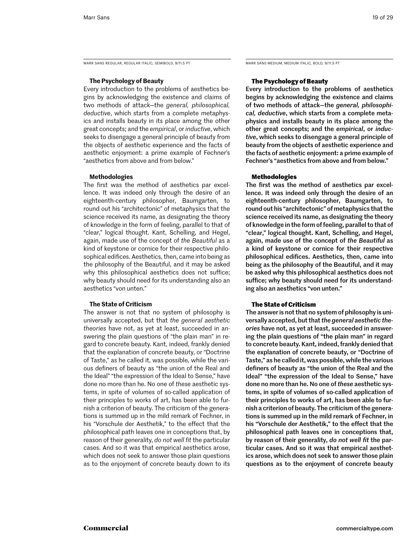MARR SANS REGULAR, REGULAR ITALIC, SEMIBOLD, 9/11.5 PT MARR SANS MEDIUM, MEDIUM ITALIC, BOLD, 9/11.5 PT

#### **The Psychology of Beauty**

Every introduction to the problems of aesthetics begins by acknowledging the existence and claims of two methods of attack—the *general, philosophical, deductive*, which starts from a complete metaphysics and installs beauty in its place among the other great concepts; and the *empirical*, or *inductive*, which seeks to disengage a general principle of beauty from the objects of aesthetic experience and the facts of aesthetic enjoyment: a prime example of Fechner's "aesthetics from above and from below."

#### **Methodologies**

The first was the method of aesthetics par excellence. It was indeed only through the desire of an eighteenth-century philosopher, Baumgarten, to round out his "architectonic" of metaphysics that the science received its name, as designating the theory of knowledge in the form of feeling, parallel to that of "clear," logical thought. Kant, Schelling, and Hegel, again, made use of the concept of *the Beautiful* as a kind of keystone or cornice for their respective philosophical edifices. Aesthetics, then, came into being as the philosophy of the Beautiful, and it may be asked why this philosophical aesthetics does not suffice; why beauty should need for its understanding also an aesthetics "von unten."

#### **The State of Criticism**

The answer is not that no system of philosophy is universally accepted, but that *the general aesthetic theories* have not, as yet at least, succeeded in answering the plain questions of "the plain man" in regard to concrete beauty. Kant, indeed, frankly denied that the explanation of concrete beauty, or "Doctrine of Taste," as he called it, was possible, while the various definers of beauty as "the union of the Real and the Ideal" "the expression of the Ideal to Sense," have done no more than he. No one of *these* aesthetic systems, in spite of volumes of so-called application of their principles to works of art, has been able to furnish a criterion of beauty. The criticism of the generations is summed up in the mild remark of Fechner, in his "Vorschule der Aesthetik," to the effect that the philosophical path leaves one in conceptions that, by reason of their generality, *do not well fit* the particular cases. And so it was that empirical aesthetics arose, which does not seek to answer those plain questions as to the enjoyment of concrete beauty down to its

#### **The Psychology of Beauty**

Every introduction to the problems of aesthetics begins by acknowledging the existence and claims of two methods of attack—the *general, philosophical, deductive*, which starts from a complete metaphysics and installs beauty in its place among the other great concepts; and the *empirical*, or *inductive*, which seeks to disengage a general principle of beauty from the objects of aesthetic experience and the facts of aesthetic enjoyment: a prime example of Fechner's "aesthetics from above and from below."

#### **Methodologies**

The first was the method of aesthetics par excellence. It was indeed only through the desire of an eighteenth-century philosopher, Baumgarten, to round out his "architectonic" of metaphysics that the science received its name, as designating the theory of knowledge in the form of feeling, parallel to that of "clear," logical thought. Kant, Schelling, and Hegel, again, made use of the concept of *the Beautiful* as a kind of keystone or cornice for their respective philosophical edifices. Aesthetics, then, came into being as the philosophy of the Beautiful, and it may be asked why this philosophical aesthetics does not suffice; why beauty should need for its understanding also an aesthetics "von unten."

#### **The State of Criticism**

The answer is not that no system of philosophy is universally accepted, but that *the general aesthetic theories* have not, as yet at least, succeeded in answering the plain questions of "the plain man" in regard to concrete beauty. Kant, indeed, frankly denied that the explanation of concrete beauty, or "Doctrine of Taste," as he called it, was possible, while the various definers of beauty as "the union of the Real and the Ideal" "the expression of the Ideal to Sense," have done no more than he. No one of *these* aesthetic systems, in spite of volumes of so-called application of their principles to works of art, has been able to furnish a criterion of beauty. The criticism of the generations is summed up in the mild remark of Fechner, in his "Vorschule der Aesthetik," to the effect that the philosophical path leaves one in conceptions that, by reason of their generality, *do not well fit* the particular cases. And so it was that empirical aesthetics arose, which does not seek to answer those plain questions as to the enjoyment of concrete beauty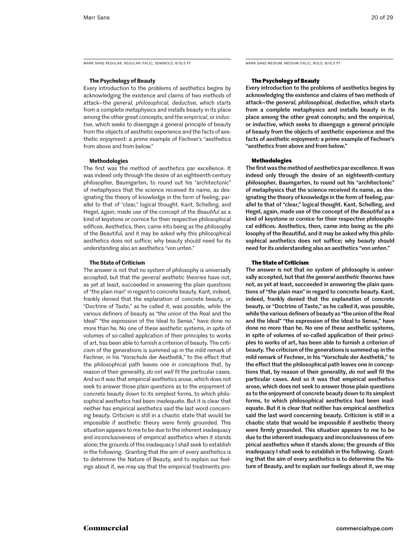MARR SANS REGULAR, REGULAR ITALIC, SEMIBOLD, 8/10.5 PT MARR SANS MEDIUM, MEDIUM ITALIC, BOLD, 8/10.5 PT

#### **The Psychology of Beauty**

Every introduction to the problems of aesthetics begins by acknowledging the existence and claims of two methods of attack—the *general, philosophical, deductive*, which starts from a complete metaphysics and installs beauty in its place among the other great concepts; and the *empirical*, or *inductive*, which seeks to disengage a general principle of beauty from the objects of aesthetic experience and the facts of aesthetic enjoyment: a prime example of Fechner's "aesthetics from above and from below."

#### **Methodologies**

The first was the method of aesthetics par excellence. It was indeed only through the desire of an eighteenth-century philosopher, Baumgarten, to round out his "architectonic" of metaphysics that the science received its name, as designating the theory of knowledge in the form of feeling, parallel to that of "clear," logical thought. Kant, Schelling, and Hegel, again, made use of the concept of *the Beautiful* as a kind of keystone or cornice for their respective philosophical edifices. Aesthetics, then, came into being as the philosophy of the Beautiful, and it may be asked why this philosophical aesthetics does not suffice; why beauty should need for its understanding also an aesthetics "von unten."

#### **The State of Criticism**

The answer is not that no system of philosophy is universally accepted, but that *the general aesthetic theories* have not, as yet at least, succeeded in answering the plain questions of "the plain man" in regard to concrete beauty. Kant, indeed, frankly denied that the explanation of concrete beauty, or "Doctrine of Taste," as he called it, was possible, while the various definers of beauty as "the union of the Real and the Ideal" "the expression of the Ideal to Sense," have done no more than he. No one of *these* aesthetic systems, in spite of volumes of so-called application of their principles to works of art, has been able to furnish a criterion of beauty. The criticism of the generations is summed up in the mild remark of Fechner, in his "Vorschule der Aesthetik," to the effect that the philosophical path leaves one in conceptions that, by reason of their generality, *do not well fit* the particular cases. And so it was that empirical aesthetics arose, which does not seek to answer those plain questions as to the enjoyment of concrete beauty down to its simplest forms, to which philosophical aesthetics had been inadequate. But it is clear that neither has empirical aesthetics said the last word concerning beauty. Criticism is still in a chaotic state that would be impossible if aesthetic theory were firmly grounded. This situation appears to me to be due to the inherent inadequacy and inconclusiveness of empirical aesthetics when it stands alone; the grounds of this inadequacy I shall seek to establish in the following. Granting that the aim of every aesthetics is to determine the Nature of Beauty, and to explain our feelings about it, we may say that the empirical treatments pro-

#### **The Psychology of Beauty**

Every introduction to the problems of aesthetics begins by acknowledging the existence and claims of two methods of attack—the *general, philosophical, deductive*, which starts from a complete metaphysics and installs beauty in its place among the other great concepts; and the *empirical*, or *inductive*, which seeks to disengage a general principle of beauty from the objects of aesthetic experience and the facts of aesthetic enjoyment: a prime example of Fechner's "aesthetics from above and from below."

#### **Methodologies**

The first was the method of aesthetics par excellence. It was indeed only through the desire of an eighteenth-century philosopher, Baumgarten, to round out his "architectonic" of metaphysics that the science received its name, as designating the theory of knowledge in the form of feeling, parallel to that of "clear," logical thought. Kant, Schelling, and Hegel, again, made use of the concept of *the Beautiful* as a kind of keystone or cornice for their respective philosophical edifices. Aesthetics, then, came into being as the philosophy of the Beautiful, and it may be asked why this philosophical aesthetics does not suffice; why beauty should need for its understanding also an aesthetics "von unten."

#### **The State of Criticism**

The answer is not that no system of philosophy is universally accepted, but that *the general aesthetic theories* have not, as yet at least, succeeded in answering the plain questions of "the plain man" in regard to concrete beauty. Kant, indeed, frankly denied that the explanation of concrete beauty, or "Doctrine of Taste," as he called it, was possible, while the various definers of beauty as "the union of the Real and the Ideal" "the expression of the Ideal to Sense," have done no more than he. No one of *these* aesthetic systems, in spite of volumes of so-called application of their principles to works of art, has been able to furnish a criterion of beauty. The criticism of the generations is summed up in the mild remark of Fechner, in his "Vorschule der Aesthetik," to the effect that the philosophical path leaves one in conceptions that, by reason of their generality, *do not well fit* the particular cases. And so it was that empirical aesthetics arose, which does not seek to answer those plain questions as to the enjoyment of concrete beauty down to its simplest forms, to which philosophical aesthetics had been inadequate. But it is clear that neither has empirical aesthetics said the last word concerning beauty. Criticism is still in a chaotic state that would be impossible if aesthetic theory were firmly grounded. This situation appears to me to be due to the inherent inadequacy and inconclusiveness of empirical aesthetics when it stands alone; the grounds of this inadequacy I shall seek to establish in the following. Granting that the aim of every aesthetics is to determine the Nature of Beauty, and to explain our feelings about it, we may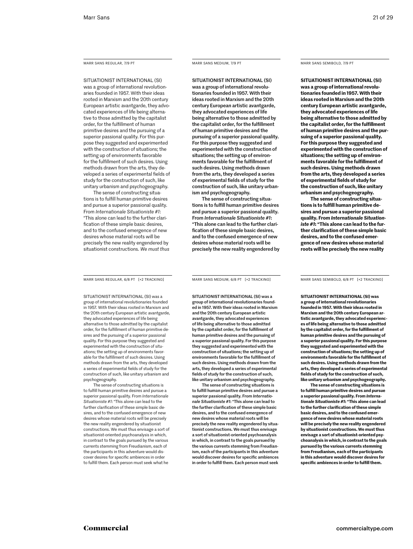#### Marr Sans Regular, 7/9 PT

SITUATIONIST INTERNATIONAL (SI) was a group of international revolutionaries founded in 1957. With their ideas rooted in Marxism and the 20th century European artistic avantgarde, they advocated experiences of life being alternative to those admitted by the capitalist order, for the fulfillment of human primitive desires and the pursuing of a superior passional quality. For this purpose they suggested and experimented with the construction of situations; the setting up of environments favorable for the fulfillment of such desires. Using methods drawn from the arts, they developed a series of experimental fields of study for the construction of such, like unitary urbanism and psychogeography.

The sense of constructing situations is to fulfill human primitive desires and pursue a superior passional quality. From *Internationale Situationiste #1*: "This alone can lead to the further clarification of these simple basic desires and to the confused emergence of new desires whose material roots will be precisely the new reality engendered by situationist constructions. *We must thus* 

Marr Sans Regular, 6/8 Pt [+2 tracking]

SITUATIONIST INTERNATIONAL (SI) was a group of international revolutionaries founded in 1957. With their ideas rooted in Marxism and the 20th century European artistic avantgarde, they advocated experiences of life being alternative to those admitted by the capitalist order, for the fulfillment of human primitive desires and the pursuing of a superior passional quality. For this purpose they suggested and experimented with the construction of situations; the setting up of environments favorable for the fulfillment of such desires. Using methods drawn from the arts, they developed a series of experimental fields of study for the construction of such, like unitary urbanism and psychogeography.

The sense of constructing situations is to fulfill human primitive desires and pursue a superior passional quality. From *Internationale Situationiste #1*: "This alone can lead to the further clarification of these simple basic desires, and to the confused emergence of new desires whose material roots will be precisely the new reality engendered by situationist constructions. We must thus envisage a sort of situationist-oriented psychoanalysis in which, in contrast to the goals pursued by the various currents stemming from Freudianism, each of the participants in this adventure would discover desires for specific ambiences in order to fulfill them. Each person must seek what he

#### Marr Sans medium, 7/9 PT

SITUATIONIST INTERNATIONAL (SI) was a group of international revolutionaries founded in 1957. With their ideas rooted in Marxism and the 20th century European artistic avantgarde, they advocated experiences of life being alternative to those admitted by the capitalist order, for the fulfillment of human primitive desires and the pursuing of a superior passional quality. For this purpose they suggested and experimented with the construction of situations; the setting up of environments favorable for the fulfillment of such desires. Using methods drawn from the arts, they developed a series of experimental fields of study for the construction of such, like unitary urbanism and psychogeography.

The sense of constructing situations is to fulfill human primitive desires and pursue a superior passional quality. From *Internationale Situationiste #1*: "This alone can lead to the further clarification of these simple basic desires, and to the confused emergence of new desires whose material roots will be precisely the new reality engendered by

#### Marr Sans semibold, 7/9 PT

**SITUATIONIST INTERNATIONAL (SI) was a group of international revolutionaries founded in 1957. With their ideas rooted in Marxism and the 20th century European artistic avantgarde, they advocated experiences of life being alternative to those admitted by the capitalist order, for the fulfillment of human primitive desires and the pursuing of a superior passional quality. For this purpose they suggested and experimented with the construction of situations; the setting up of environments favorable for the fulfillment of such desires. Using methods drawn from the arts, they developed a series of experimental fields of study for the construction of such, like unitary urbanism and psychogeography.**

**The sense of constructing situations is to fulfill human primitive desires and pursue a superior passional quality. From** *Internationale Situationiste #1***: "This alone can lead to the further clarification of these simple basic desires, and to the confused emergence of new desires whose material roots will be precisely the new reality** 

Marr Sans medium, 6/8 PT [+2 tracking]

SITUATIONIST INTERNATIONAL (SI) was a group of international revolutionaries founded in 1957. With their ideas rooted in Marxism and the 20th century European artistic avantgarde, they advocated experiences of life being alternative to those admitted by the capitalist order, for the fulfillment of human primitive desires and the pursuing of a superior passional quality. For this purpose they suggested and experimented with the construction of situations; the setting up of environments favorable for the fulfillment of such desires. Using methods drawn from the arts, they developed a series of experimental fields of study for the construction of such, like unitary urbanism and psychogeography.

The sense of constructing situations is to fulfill human primitive desires and pursue a superior passional quality. From *Internationale Situationiste #1*: "This alone can lead to the further clarification of these simple basic desires, and to the confused emergence of new desires whose material roots will be precisely the new reality engendered by situationist constructions. We must thus envisage a sort of situationist-oriented psychoanalysis in which, in contrast to the goals pursued by the various currents stemming from Freudianism, each of the participants in this adventure would discover desires for specific ambiences in order to fulfill them. Each person must seek

Marr Sans semibold, 6/8 PT [+2 tracking]

**SITUATIONIST INTERNATIONAL (SI) was a group of international revolutionaries founded in 1957. With their ideas rooted in Marxism and the 20th century European artistic avantgarde, they advocated experiences of life being alternative to those admitted by the capitalist order, for the fulfillment of human primitive desires and the pursuing of a superior passional quality. For this purpose they suggested and experimented with the construction of situations; the setting up of environments favorable for the fulfillment of such desires. Using methods drawn from the arts, they developed a series of experimental fields of study for the construction of such, like unitary urbanism and psychogeography.**

**The sense of constructing situations is to fulfill human primitive desires and pursue a superior passional quality. From** *Internationale Situationiste #1***: "This alone can lead to the further clarification of these simple basic desires, and to the confused emergence of new desires whose material roots will be precisely the new reality engendered by situationist constructions. We must thus envisage a sort of situationist-oriented psychoanalysis in which, in contrast to the goals pursued by the various currents stemming from Freudianism, each of the participants in this adventure would discover desires for specific ambiences in order to fulfill them.**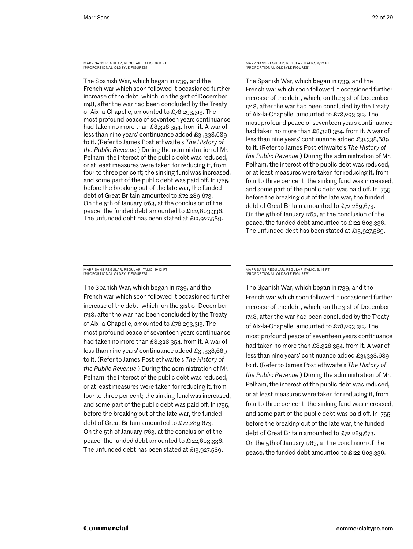Marr Sans Regular, regular italic, 9/11 PT [proportional oldsyle figures]

The Spanish War, which began in 1739, and the French war which soon followed it occasioned further increase of the debt, which, on the 31st of December 1748, after the war had been concluded by the Treaty of Aix-la-Chapelle, amounted to £78,293,313. The most profound peace of seventeen years continuance had taken no more than £8,328,354. from it. A war of less than nine years' continuance added £31,338,689 to it. (Refer to James Postlethwaite's *The History of the Public Revenue.*) During the administration of Mr. Pelham, the interest of the public debt was reduced, or at least measures were taken for reducing it, from four to three per cent; the sinking fund was increased, and some part of the public debt was paid off. In 1755, before the breaking out of the late war, the funded debt of Great Britain amounted to £72,289,673. On the 5th of January 1763, at the conclusion of the peace, the funded debt amounted to £122,603,336. The unfunded debt has been stated at £13,927,589.

#### Marr Sans Regular, regular italic, 9/12 PT [proportional oldsyle figures]

The Spanish War, which began in 1739, and the French war which soon followed it occasioned further increase of the debt, which, on the 31st of December 1748, after the war had been concluded by the Treaty of Aix-la-Chapelle, amounted to £78,293,313. The most profound peace of seventeen years continuance had taken no more than £8,328,354. from it. A war of less than nine years' continuance added £31,338,689 to it. (Refer to James Postlethwaite's *The History of the Public Revenue.*) During the administration of Mr. Pelham, the interest of the public debt was reduced, or at least measures were taken for reducing it, from four to three per cent; the sinking fund was increased, and some part of the public debt was paid off. In 1755, before the breaking out of the late war, the funded debt of Great Britain amounted to £72,289,673. On the 5th of January 1763, at the conclusion of the peace, the funded debt amounted to £122,603,336. The unfunded debt has been stated at £13,927,589.

Marr Sans Regular, regular italic, 9/13 PT [proportional oldsyle figures]

The Spanish War, which began in 1739, and the French war which soon followed it occasioned further increase of the debt, which, on the 31st of December 1748, after the war had been concluded by the Treaty of Aix-la-Chapelle, amounted to £78,293,313. The most profound peace of seventeen years continuance had taken no more than £8,328,354. from it. A war of less than nine years' continuance added £31,338,689 to it. (Refer to James Postlethwaite's *The History of the Public Revenue.*) During the administration of Mr. Pelham, the interest of the public debt was reduced, or at least measures were taken for reducing it, from four to three per cent; the sinking fund was increased, and some part of the public debt was paid off. In 1755, before the breaking out of the late war, the funded debt of Great Britain amounted to £72,289,673. On the 5th of January 1763, at the conclusion of the peace, the funded debt amounted to £122,603,336. The unfunded debt has been stated at  $\pounds$ 13,927,589.

Marr Sans Regular, regular italic, 9/14 PT [proportional oldsyle figures]

The Spanish War, which began in 1739, and the French war which soon followed it occasioned further increase of the debt, which, on the 31st of December 1748, after the war had been concluded by the Treaty of Aix-la-Chapelle, amounted to £78,293,313. The most profound peace of seventeen years continuance had taken no more than £8,328,354. from it. A war of less than nine years' continuance added £31,338,689 to it. (Refer to James Postlethwaite's *The History of the Public Revenue.*) During the administration of Mr. Pelham, the interest of the public debt was reduced, or at least measures were taken for reducing it, from four to three per cent; the sinking fund was increased, and some part of the public debt was paid off. In 1755, before the breaking out of the late war, the funded debt of Great Britain amounted to £72,289,673. On the 5th of January 1763, at the conclusion of the peace, the funded debt amounted to £122,603,336.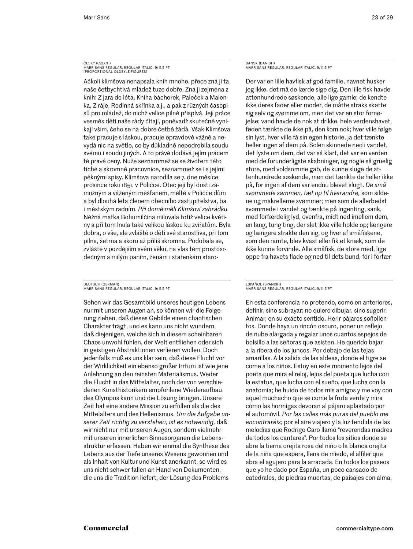#### ČESKÝ (CZECH) Marr Sans Regular, regular italic, 9/11.5 PT [proportional oldsyle figures]

Ačkoli klimšova nenapsala knih mnoho, přece zná ji ta naše četbychtivá mládež tuze dobře. Zná ji zejména z knih: Z jara do léta, Kniha báchorek, Paleček a Malenka, Z ráje, Rodinná skřínka a j., a pak z různých časopisů pro mládež, do nichž velice pilně přispívá. Její práce vesměs děti naše rády čítají, poněvadž skutečně vynikají vším, čeho se na dobré četbě žádá. Však Klimšova také pracuje s láskou, pracuje opravdově vážně a nevydá nic na světlo, co by důkladně nepodrobila soudu svému i soudu jiných. A to právě dodává jejím prácem té pravé ceny. Nuže seznammež se se životem této tiché a skromné pracovnice, seznammež se i s jejími pěknými spisy. Klimšova narodila se 7. dne měsíce prosince roku 1851. v Poličce. Otec její byl dosti zámožným a váženým měšťanem, měltě v Poličce dům a byl dlouhá léta členem obecního zastupitelstva, ba i městským radním. *Při domě měli Klimšovi zahrádku.*  Něžná matka Bohumilčina milovala totiž velice květiny a při tom lnula také velikou láskou ku zvířatům. Byla dobra, o vše, ale zvláště o děti své starostliva, při tom pilna, šetrna a skoro až příliš skromna. Podobala se, zvláště v pozdějším svém věku, na vlas těm prostosrdečným a milým paním, ženám i stařenkám staro-

#### DEUTSCH (GERMAN) Marr Sans Regular, regular italic, 9/11.5 PT

Sehen wir das Gesamtbild unseres heutigen Lebens nur mit unseren Augen an, so können wir die Folgerung ziehen, daß dieses Gebilde einen chaotischen Charakter trägt, und es kann uns nicht wundern, daß diejenigen, welche sich in diesem scheinbaren Chaos unwohl fühlen, der Welt entfliehen oder sich in geistigen Abstraktionen verlieren wollen. Doch jedenfalls muß es uns klar sein, daß diese Flucht vor der Wirklichkeit ein ebenso großer Irrtum ist wie jene Anlehnung an den reinsten Materialismus. Weder die Flucht in das Mittelalter, noch der von verschiedenen Kunsthistorikern empfohlene Wiederaufbau des Olympos kann und die Lösung bringen. Unsere Zeit hat eine andere Mission zu erfüllen als die des Mittelalters und des Hellenismus. *Um die Aufgabe unserer Zeit richtig zu verstehen, ist es notwendig,* daß wir nicht nur mit unseren Augen, sondern vielmehr mit unseren innerlichen Sinnesorganen die Lebensstruktur erfassen. Haben wir einmal die Synthese des Lebens aus der Tiefe unseres Wesens gewonnen und als Inhalt von Kultur und Kunst anerkannt, so wird es uns nicht schwer fallen an Hand von Dokumenten, die uns die Tradition liefert, der Lösung des Problems

#### DANSK (DANISH) Marr Sans Regular, regular italic, 9/11.5 PT

Der var en lille havfisk af god familie, navnet husker jeg ikke, det må de lærde sige dig. Den lille fisk havde attenhundrede søskende, alle lige gamle; de kendte ikke deres fader eller moder, de måtte straks skøtte sig selv og svømme om, men det var en stor fornøjelse; vand havde de nok at drikke, hele verdenshavet, føden tænkte de ikke på, den kom nok; hver ville følge sin lyst, hver ville få sin egen historie, ja det tænkte heller ingen af dem på. Solen skinnede ned i vandet, det lyste om dem, det var så klart, det var en verden med de forunderligste skabninger, og nogle så gruelig store, med voldsomme gab, de kunne sluge de attenhundrede søskende, men det tænkte de heller ikke på, for ingen af dem var endnu blevet slugt. *De små svømmede sammen, tæt op til hverandre,* som sildene og makrellerne svømmer; men som de allerbedst svømmede i vandet og tænkte på ingenting, sank, med forfærdelig lyd, ovenfra, midt ned imellem dem, en lang, tung ting, der slet ikke ville holde op; længere og længere strakte den sig, og hver af småfiskene, som den ramte, blev kvast eller fik et knæk, som de ikke kunne forvinde. Alle småfisk, de store med, lige oppe fra havets flade og ned til dets bund, fór i forfær-

#### ESPAÑOL (SPANISH) Marr Sans Regular, regular italic, 9/11.5 PT

En esta conferencia no pretendo, como en anteriores, definir, sino subrayar; no quiero dibujar, sino sugerir. Animar, en su exacto sentido. Herir pájaros soñolientos. Donde haya un rincón oscuro, poner un reflejo de nube alargada y regalar unos cuantos espejos de bolsillo a las señoras que asisten. He querido bajar a la ribera de los juncos. Por debajo de las tejas amarillas. A la salida de las aldeas, donde el tigre se come a los niños. Estoy en este momento lejos del poeta que mira el reloj, lejos del poeta que lucha con la estatua, que lucha con el sueño, que lucha con la anatomía; he huido de todos mis amigos y me voy con aquel muchacho que se come la fruta verde y mira cómo las hormigas devoran al pájaro aplastado por el automóvil. *Por las calles más puras del pueblo me encontraréis;* por el aire viajero y la luz tendida de las melodías que Rodrigo Caro llamó "reverendas madres de todos los cantares". Por todos los sitios donde se abre la tierna orejita rosa del niño o la blanca orejita de la niña que espera, llena de miedo, el alfiler que abra el agujero para la arracada. En todos los paseos que yo he dado por España, un poco cansado de catedrales, de piedras muertas, de paisajes con alma,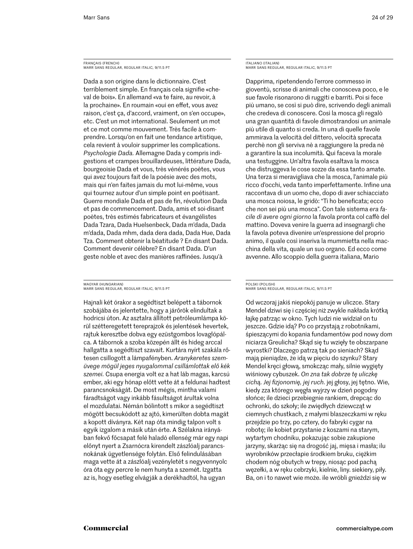FRANÇAIS (FRENCH) Marr Sans Regular, regular italic, 9/11.5 PT

Dada a son origine dans le dictionnaire. C'est terriblement simple. En français cela signifie «cheval de bois». En allemand «va te faire, au revoir, à la prochaine». En roumain «oui en effet, vous avez raison, c'est ça, d'accord, vraiment, on s'en occupe», etc. C'est un mot international. Seulement un mot et ce mot comme mouvement. Très facile à comprendre. Lorsqu'on en fait une tendance artistique, cela revient à vouloir supprimer les complications. *Psychologie Dada.* Allemagne Dada y compris indigestions et crampes brouillardeuses, littérature Dada, bourgeoisie Dada et vous, très vénérés poètes, vous qui avez toujours fait de la poésie avec des mots, mais qui n'en faites jamais du mot lui-même, vous qui tournez autour d'un simple point en poétisant. Guerre mondiale Dada et pas de fin, révolution Dada et pas de commencement. Dada, amis et soi-disant poètes, très estimés fabricateurs et évangélistes Dada Tzara, Dada Huelsenbeck, Dada m'dada, Dada m'dada, Dada mhm, dada dera dada, Dada Hue, Dada Tza. Comment obtenir la béatitude ? En disant Dada. Comment devenir célèbre? En disant Dada. D'un geste noble et avec des manières raffinées. Jusqu'à

MAGYAR (HUNGARIAN) Marr Sans Regular, regular italic, 9/11.5 PT

Hajnali két órakor a segédtiszt belépett a tábornok szobájába és jelentette, hogy a járőrök elindultak a hodricsi úton. Az asztalra állított petróleumlámpa körül szétteregetett tereprajzok és jelentések hevertek, rajtuk keresztbe dobva egy ezüstgombos lovaglópálca. A tábornok a szoba közepén állt és hideg arccal hallgatta a segédtiszt szavait. Kurtára nyírt szakála rőtesen csillogott a lámpafényben. *Aranykeretes szemüvege mögül jeges nyugalommal csillámlottak elő kék szemei.* Csupa energia volt ez a hat láb magas, karcsú ember, aki egy hónap előtt vette át a feldunai hadtest parancsnokságát. De most mégis, mintha valami fáradtságot vagy inkább fásultságot árultak volna el mozdulatai. Némán bólintott s mikor a segédtiszt mögött becsukódott az ajtó, kimerülten dobta magát a kopott díványra. Két nap óta mindig talpon volt s egyik izgalom a másik után érte. A Szélakna irányában fekvő főcsapat felé haladó ellenség már egy napi előnyt nyert a Zsarnócra kirendelt zászlóalj parancsnokának ügyetlensége folytán. Első felindulásában maga vette át a zászlóalj vezényletét s negyvennyolc óra óta egy percre le nem hunyta a szemét. Izgatta az is, hogy esetleg elvágják a derékhadtól, ha ugyan

ITALIANO (ITALIAN) Marr Sans Regular, regular italic, 9/11.5 PT

Dapprima, ripetendendo l'errore commesso in gioventù, scrisse di animali che conosceva poco, e le sue favole risonarono di ruggiti e barriti. Poi si fece più umano, se così si può dire, scrivendo degli animali che credeva di conoscere. Così la mosca gli regalò una gran quantità di favole dimostrandosi un animale più utile di quanto si creda. In una di quelle favole ammirava la velocità del dittero, velocità sprecata perchè non gli serviva nè a raggiungere la preda nè a garantire la sua incolumità. Qui faceva la morale una testuggine. Un'altra favola esaltava la mosca che distruggeva le cose sozze da essa tanto amate. Una terza si meravigliava che la mosca, l'animale più ricco d'occhi, veda tanto imperfettamente. Infine una raccontava di un uomo che, dopo di aver schiacciato una mosca noiosa, le gridò: "Ti ho beneficata; ecco che non sei più una mosca". Con tale sistema *era facile di avere ogni giorno* la favola pronta col caffè del mattino. Doveva venire la guerra ad insegnargli che la favola poteva divenire un'espressione del proprio animo, il quale così inseriva la mummietta nella macchina della vita, quale un suo organo. Ed ecco come avvenne. Allo scoppio della guerra italiana, Mario

#### POLSKI (POLISH) Marr Sans Regular, regular italic, 9/11.5 PT

Od wczoraj jakiś niepokój panuje w uliczce. Stary Mendel dziwi się i częściej niż zwykle nakłada krótką łajkę patrząc w okno. Tych ludzi nie widział on tu jeszcze. Gdzie idą? Po co przystają z robotnikami, śpieszącymi do kopania fundamentów pod nowy dom niciarza Greulicha? Skąd się tu wzięły te obszarpane wyrostki? Dlaczego patrzą tak po sieniach? Skąd mają pieniądze, że idą w pięciu do szynku? Stary Mendel kręci głową, smokcząc mały, silnie wygięty wiśniowy cybuszek. *On zna tak dobrze tę uliczkę cichą. Jej fizjonomię, jej ruch.* jej głosy, jej tętno. Wie, kiedy zza którego węgła wyjrzy w dzień pogodny słońce; ile dzieci przebiegnie rankiem, drepcąc do ochronki, do szkoły; ile zwiędłych dziewcząt w ciemnych chustkach, z małymi blaszeczkami w ręku przejdzie po trzy, po cztery, do fabryki cygar na robotę; ile kobiet przystanie z koszami na starym, wytartym chodniku, pokazując sobie zakupione jarzyny, skarżąc się na drogość jaj, mięsa i masła; ilu wyrobników przecłapie środkiem bruku, ciężkim chodem nóg obutych w trepy, niosąc pod pachą węzełki, a w ręku cebrzyki, kielnie, liny. siekiery, piły. Ba, on i to nawet wie może. ile wróbli gnieździ się w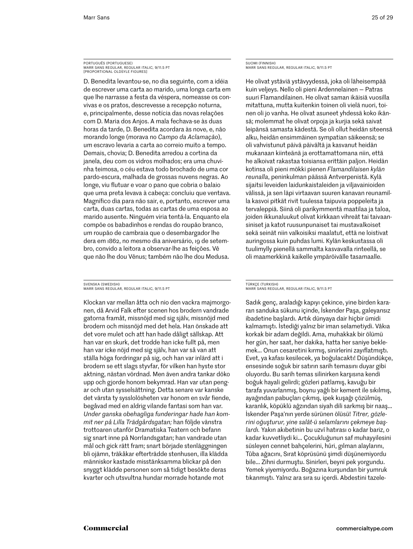#### PORTUGUÊS (PORTUGUESE) Marr Sans Regular, regular italic, 9/11.5 PT [proportional oldsyle figures]

D. Benedita levantou-se, no dia seguinte, com a idéia de escrever uma carta ao marido, uma longa carta em que lhe narrasse a festa da véspera, nomeasse os convivas e os pratos, descrevesse a recepção noturna, e, principalmente, desse notícia das novas relações com D. Maria dos Anjos. A mala fechava-se às duas horas da tarde, D. Benedita acordara às nove, e, não morando longe (morava no *Campo da Aclamação*), um escravo levaria a carta ao correio muito a tempo. Demais, chovia; D. Benedita arredou a cortina da janela, deu com os vidros molhados; era uma chuvinha teimosa, o céu estava todo brochado de uma cor pardo-escura, malhada de grossas nuvens negras. Ao longe, viu flutuar e voar o pano que cobria o balaio que uma preta levava à cabeça: concluiu que ventava. Magnífico dia para não sair, e, portanto, escrever uma carta, duas cartas, todas as cartas de uma esposa ao marido ausente. Ninguém viria tentá-la. Enquanto ela compõe os babadinhos e rendas do roupão branco, um roupão de cambraia que o desembargador lhe dera em 1862, no mesmo dia aniversário, 19 de setembro, convido a leitora a observar-lhe as feições. Vê que não lhe dou Vênus; também não lhe dou Medusa.

#### SVENSKA (SWEDISH) Marr Sans Regular, regular italic, 9/11.5 PT

Klockan var mellan åtta och nio den vackra majmorgonen, då Arvid Falk efter scenen hos brodern vandrade gatorna framåt, missnöjd med sig själv, missnöjd med brodern och missnöjd med det hela. Han önskade att det vore mulet och att han hade dåligt sällskap. Att han var en skurk, det trodde han icke fullt på, men han var icke nöjd med sig själv, han var så van att ställa höga fordringar på sig, och han var inlärd att i brodern se ett slags styvfar, för vilken han hyste stor aktning, nästan vördnad. Men även andra tankar döko upp och gjorde honom bekymrad. Han var utan pengar och utan sysselsättning. Detta senare var kanske det värsta ty sysslolösheten var honom en svår fiende, begåvad med en aldrig vilande fantasi som han var. *Under ganska obehagliga funderingar hade han kommit ner på Lilla Trädgårdsgatan;* han följde vänstra trottoaren utanför Dramatiska Teatern och befann sig snart inne på Norrlandsgatan; han vandrade utan mål och gick rätt fram; snart började stenläggningen bli ojämn, träkåkar efterträdde stenhusen, illa klädda människor kastade misstänksamma blickar på den snyggt klädde personen som så tidigt besökte deras kvarter och utsvultna hundar morrade hotande mot

SUOMI (FINNISH) Marr Sans Regular, regular italic, 9/11.5 PT

He olivat ystäviä ystävyydessä, joka oli läheisempää kuin veljeys. Nello oli pieni Ardennelainen — Patras suuri Flamandilainen. He olivat saman ikäisiä vuosilla mitattuna, mutta kuitenkin toinen oli vielä nuori, toinen oli jo vanha. He olivat asuneet yhdessä koko ikänsä; molemmat he olivat orpoja ja kurjia sekä saivat leipänsä samasta kädestä. Se oli ollut heidän siteensä alku, heidän ensimmäinen sympatian säikeensä; se oli vahvistunut päivä päivältä ja kasvanut heidän mukanaan kiinteänä ja erottamattomana niin, että he alkoivat rakastaa toisiansa erittäin paljon. Heidän kotinsa oli pieni mökki pienen *Flamandilaisen kylän reunalla*, peninkulman päässä Antverpenistä. Kylä sijaitsi leveiden laidunkaistaleiden ja viljavainioiden välissä, ja sen läpi virtaavan suuren kanavan reunamilla kasvoi pitkät rivit tuulessa taipuvia poppeleita ja tervaleppiä. Siinä oli parikymmentä maatilaa ja taloa, joiden ikkunaluukut olivat kirkkaan vihreät tai taivaansiniset ja katot ruusunpunaiset tai mustavalkoiset sekä seinät niin valkoisiksi maalatut, että ne loistivat auringossa kuin puhdas lumi. Kylän keskustassa oli tuulimylly pienellä sammalta kasvavalla rinteellä, se oli maamerkkinä kaikelle ympäröivälle tasamaalle.

#### TÜRKÇE (TURKISH) Marr Sans Regular, regular italic, 9/11.5 PT

Sadık genç, araladığı kapıyı çekince, yine birden kararan sanduka sükunu içinde, İskender Paşa, galeyansız ibadetine başlardı. Artık dünyaya dair hiçbir ümidi kalmamıştı. İstediği yalnız bir iman selametiydi. Vâkıa korkak bir adam değildi. Ama, muhakkak bir ölümü her gün, her saat, her dakika, hatta her saniye beklemek… Onun cesaretini kırmış, sinirlerini zayıflatmıştı. Evet, ya kafası kesilecek, ya boğulacaktı! Düşündükçe, ensesinde soğuk bir satırın sarih temasını duyar gibi oluyordu. Bu sarih temas silinirken karşısına kendi boğuk hayali gelirdi; gözleri patlamış, kavuğu bir tarafa yuvarlanmış, boynu yağlı bir kement ile sıkılmış, ayağından pabuçları çıkmış, ipek kuşağı çözülmüş, karanlık, köpüklü ağzından siyah dili sarkmış bir naaş… İskender Paşa'nın yerde sürünen ölüsü! *Titrer, gözlerini oğuşturur, yine salât-ü selamlarını çekmeye başlardı.* Yakın akıbetinin bu uzvî hatırası o kadar bariz, o kadar kuvvetliydi ki… Çocukluğunun saf muhayyilesini süsleyen cennet bahçelerini, hûri, gılman alaylarını, Tûba ağacını, Sırat köprüsünü şimdi düşünemiyordu bile… Zihni durmuştu. Sinirleri, beyni pek yorgundu. Yemek yiyemiyordu. Boğazına kurşundan bir yumruk tıkanmıştı. Yalnız ara sıra su içerdi. Abdestini tazele-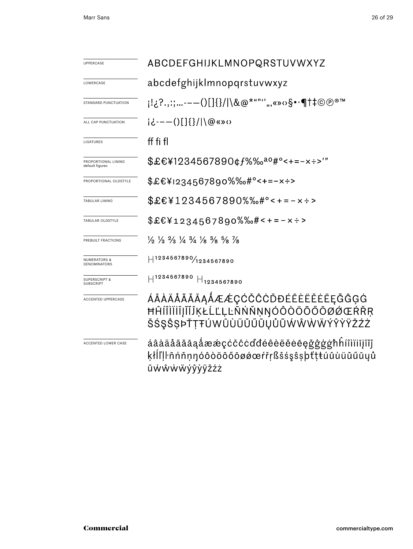| UPPERCASE                                    | ABCDEFGHIJKLMNOPQRSTUVWXYZ                                                                                                    |  |  |  |  |  |
|----------------------------------------------|-------------------------------------------------------------------------------------------------------------------------------|--|--|--|--|--|
| LOWERCASE                                    | abcdefghijklmnopqrstuvwxyz                                                                                                    |  |  |  |  |  |
| STANDARD PUNCTUATION                         | ;¦¿?,,:;-—()[]{}/ \&@*""''",«»↔§•∙¶†‡©®®™                                                                                     |  |  |  |  |  |
| ALL CAP PUNCTUATION                          | $i\dot{\epsilon}$ ---()[]{}/ \@«» $\circ$                                                                                     |  |  |  |  |  |
| LIGATURES                                    | ff fi fl                                                                                                                      |  |  |  |  |  |
| PROPORTIONAL LINING<br>default figures       | \$£€¥1234567890¢f%‰ <sup>ao</sup> #°<+=-x÷>'"                                                                                 |  |  |  |  |  |
| PROPORTIONAL OLDSTYLE                        | \$£€¥1234567890%‰#°<+=-x÷>                                                                                                    |  |  |  |  |  |
| TABULAR LINING                               | \$£€¥1234567890%‰#°<+=-×÷>                                                                                                    |  |  |  |  |  |
| TABULAR OLDSTYLE                             | $$£€¥1234567890%%# < + = -x \div$                                                                                             |  |  |  |  |  |
| PREBUILT FRACTIONS                           | $\frac{1}{2}$ $\frac{1}{3}$ $\frac{2}{3}$ $\frac{1}{4}$ $\frac{3}{4}$ $\frac{1}{8}$ $\frac{3}{8}$ $\frac{5}{8}$ $\frac{7}{8}$ |  |  |  |  |  |
| <b>NUMERATORS &amp;</b><br>DENOMINATORS      | $H^{1234567890}/_{1234567890}$                                                                                                |  |  |  |  |  |
| <b>SUPERSCRIPT &amp;</b><br><b>SUBSCRIPT</b> | $H^{1234567890}$<br>$H_{1234567890}$                                                                                          |  |  |  |  |  |
| ACCENTED UPPERCASE                           | ÁÂÀÄÅÃĂĀĄÅÆÆÇĆČĈĊĎĐÉÊÈËĔĒĘĞĜĢĠ<br>ĦĤĺĨÌĬĬĨĬĨĬĨĶŁĹĽĻĿÑŃŇŅŊÓÔŎÖŐŐŌØÓŒŔŘŖ<br>ŠŚŞŜSÞŤŢŦÚWÛÙÜŬŰŪŲŮŨŴŴŴŴÝŶŸŽŹŻ                      |  |  |  |  |  |
| ACCENTED LOWER CASE                          | áâàäåããāaåææçćčĉcďđéêèëĕėēęǧĝģģħĥíîìïiījĩĭĵ<br>ķłĺľḷŀñńňṇŋóôòöõőōøǿœŕřṛßšśşŝṣþťṭŧúûùüŭűūyů<br>ũẃŵẁẅýŷỳÿžźz                    |  |  |  |  |  |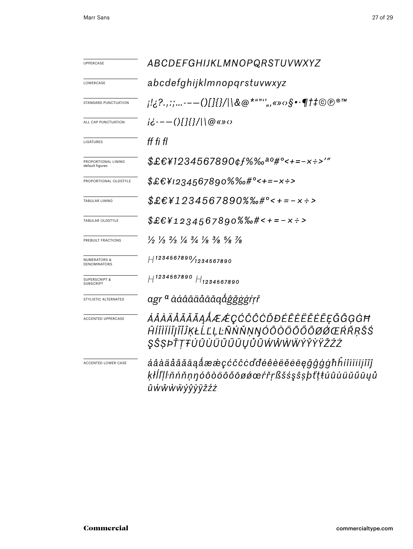| <b>UPPERCASE</b>                             | ABCDEFGHIJKLMNOPQRSTUVWXYZ                                                                                                    |  |  |  |  |
|----------------------------------------------|-------------------------------------------------------------------------------------------------------------------------------|--|--|--|--|
| LOWERCASE                                    | abcdefghijklmnopgrstuvwxyz                                                                                                    |  |  |  |  |
| STANDARD PUNCTUATION                         | ;¦¿?,,;;,-—()[]{}/ \&@*""''",«»↔§•∙¶†‡©℗®™                                                                                    |  |  |  |  |
| ALL CAP PUNCTUATION                          | $i\ddot{c}$ - - - ()[]{}/ \@«» $\circ$                                                                                        |  |  |  |  |
| LIGATURES                                    | ff fi fl                                                                                                                      |  |  |  |  |
| PROPORTIONAL LINING<br>default figures       | $$EEY1234567890$ $$f\%$ % $a\degree t = -x \div$ $\degree$                                                                    |  |  |  |  |
| PROPORTIONAL OLDSTYLE                        | \$£€¥1234567890%%                                                                                                             |  |  |  |  |
| <b>TABULAR LINING</b>                        | $$£€¥1234567890%%*°<+=-x÷>$                                                                                                   |  |  |  |  |
| TABULAR OLDSTYLE                             | $$EEY1234567890%$ %+---x :>                                                                                                   |  |  |  |  |
| PREBUILT FRACTIONS                           | $\frac{1}{2}$ $\frac{1}{3}$ $\frac{2}{3}$ $\frac{1}{4}$ $\frac{3}{4}$ $\frac{1}{8}$ $\frac{3}{8}$ $\frac{5}{8}$ $\frac{7}{8}$ |  |  |  |  |
| <b>NUMERATORS &amp;</b><br>DENOMINATORS      | $H^{1234567890}/_{1234567890}$                                                                                                |  |  |  |  |
| <b>SUPERSCRIPT &amp;</b><br><b>SUBSCRIPT</b> | $H^{1234567890}$ $H_{1234567890}$                                                                                             |  |  |  |  |
| STYLISTIC ALTERNATES                         | agr <sup>a</sup> àáâãäåāāặåĝ <i>ǧǧġġŕŗř</i>                                                                                   |  |  |  |  |
| <b>ACCENTED UPPERCASE</b>                    | ÁÂÀÄÅÃĂĀĄÅÆÆÇĆČĈĊĎĐÉÊÈËĔĒĘĞĜĢĠĦ<br>ĤĺÎÌÏĬĨĮĨĬĴĶŁĹĽĻĿÑŃŇŅŊÓÔŎŎŎŐŌØØŒŔŘŖŠŚ<br>ŞŜŞÞŤŢŦÚÛÙÜŬŰŨŲŮŨŴŴŴŴÝŶŶŸŽŹŻ                      |  |  |  |  |
| ACCENTED LOWER CASE                          | áâàäåããāaåææçćčĉcďdéêèëĕēēçğĝģġħĥíîìïiījĩĭĵ<br>ķłĺľļŀñńňṇŋóôòöõőōøǿœŕřṛßšśşŝṣþťṭŧúûùüŭűūyů<br>ũẃŵẁẅýŷỳÿžźż                    |  |  |  |  |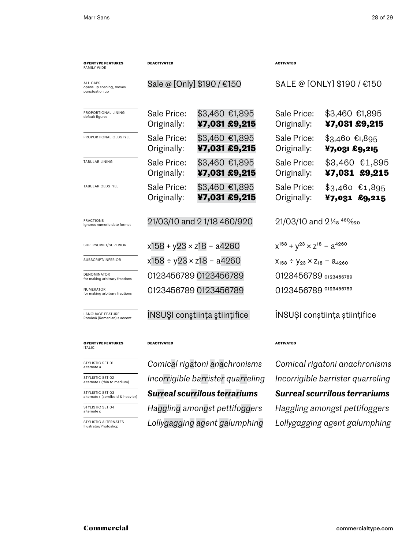| <b>OPENTYPE FEATURES</b><br><b>FAMILY WIDE</b>        | <b>DEACTIVATED</b>                 |                                 | <b>ACTIVATED</b>                                 |                                    |  |
|-------------------------------------------------------|------------------------------------|---------------------------------|--------------------------------------------------|------------------------------------|--|
| ALL CAPS<br>opens up spacing, moves<br>punctuation up | Sale @ [Only] \$190 / €150         |                                 | SALE @ [ONLY] \$190 / €150                       |                                    |  |
| PROPORTIONAL LINING<br>default figures                | Sale Price:<br>Originally:         | \$3,460 €1,895<br>¥7,031 £9,215 | Sale Price:<br>Originally:                       | \$3,460 €1,895<br>¥7,031 £9,215    |  |
| PROPORTIONAL OLDSTYLE                                 | Sale Price:<br>Originally:         | \$3,460 €1,895<br>¥7,031 £9,215 | Sale Price:<br>Originally:                       | $$3,460$ $$1,895$<br>¥7,031 £9,215 |  |
| TABULAR LINING                                        | Sale Price:<br>Originally:         | \$3,460 €1,895<br>¥7,031 £9,215 | Sale Price:<br>Originally:                       | $$3,460$ €1,895<br>¥7,031 £9,215   |  |
| TABULAR OLDSTYLE                                      | Sale Price:<br>Originally:         | \$3,460 €1,895<br>¥7,031 £9,215 | Sale Price:<br>Originally:                       | $$3,460$ €1,895<br>$47,031$ £9,215 |  |
| FRACTIONS<br>ignores numeric date format              | 21/03/10 and 21/18 460/920         |                                 | 21/03/10 and 21/ <sub>18</sub> 46% <sub>20</sub> |                                    |  |
| SUPERSCRIPT/SUPERIOR                                  |                                    | $x158 + y23 \times z18 - a4260$ | $x^{158} + y^{23} \times z^{18} - a^{4260}$      |                                    |  |
| SUBSCRIPT/INFERIOR                                    | $x158 \div y23 \times z18 - a4260$ |                                 | $X_{158} \div Y_{23} \times Z_{18} - A_{4260}$   |                                    |  |
| DENOMINATOR<br>for making arbitrary fractions         |                                    | 0123456789 0123456789           | 0123456789 0123456789                            |                                    |  |
| NUMERATOR<br>for making arbitrary fractions           |                                    | 0123456789 0123456789           | 0123456789 0123456789                            |                                    |  |
| LANGUAGE FEATURE<br>Română (Romanian) s accent        |                                    | INSUȘI conștiința științifice   | INSUSI constiința științifice                    |                                    |  |
| <b>OPENTYPE FEATURES</b><br><b>ITALIC</b>             | <b>DEACTIVATED</b>                 |                                 | <b>ACTIVATED</b>                                 |                                    |  |
| STYLISTIC SET 01<br>alternate a                       |                                    | Comical rigatoni anachronisms   | Comical rigatoni anachronisms                    |                                    |  |

STYLISTIC SET 02 alternate r (thin to medium)

STYLISTIC SET 03 alternate r (semibold & heavier)

STYLISTIC SET 04 alternate g

STYLISTIC ALTERNATES Illustrator/Photoshop

*Lollygagging agent galumphing Lollygagging agent galumphing*

*Surreal scurrilous terrariums Surreal scurrilous terrariums Incorrigible barrister quarreling Incorrigible barrister quarreling Haggling amongst pettifoggers Haggling amongst pettifoggers*